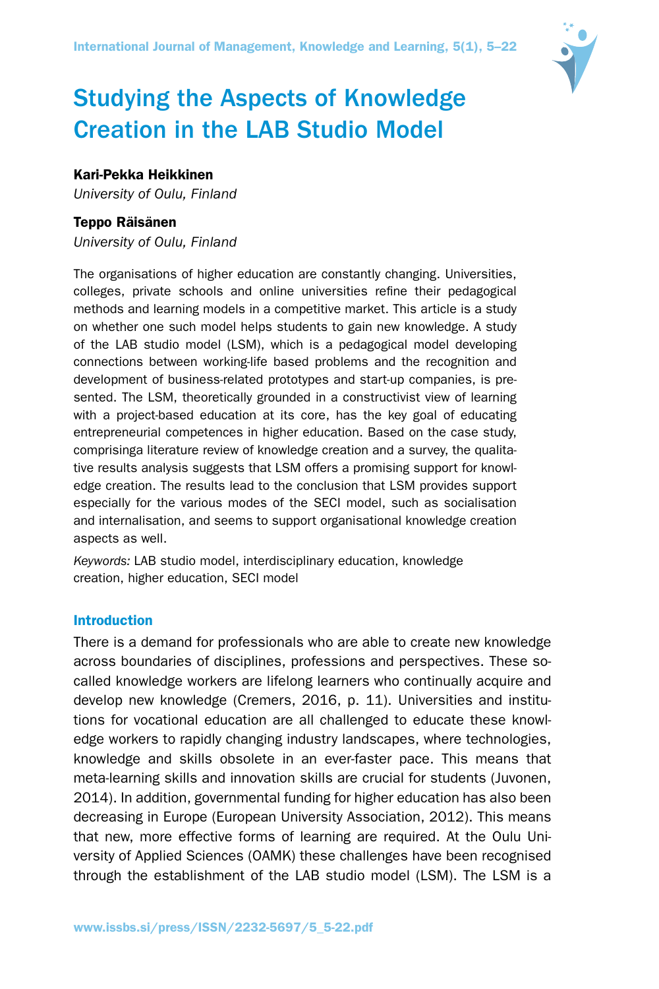

# Studying the Aspects of Knowledge Creation in the LAB Studio Model

# Kari-Pekka Heikkinen

*University of Oulu, Finland*

## Teppo Räisänen

*University of Oulu, Finland*

The organisations of higher education are constantly changing. Universities, colleges, private schools and online universities refine their pedagogical methods and learning models in a competitive market. This article is a study on whether one such model helps students to gain new knowledge. A study of the LAB studio model (LSM), which is a pedagogical model developing connections between working-life based problems and the recognition and development of business-related prototypes and start-up companies, is presented. The LSM, theoretically grounded in a constructivist view of learning with a project-based education at its core, has the key goal of educating entrepreneurial competences in higher education. Based on the case study, comprisinga literature review of knowledge creation and a survey, the qualitative results analysis suggests that LSM offers a promising support for knowledge creation. The results lead to the conclusion that LSM provides support especially for the various modes of the SECI model, such as socialisation and internalisation, and seems to support organisational knowledge creation aspects as well.

*Keywords:* LAB studio model, interdisciplinary education, knowledge creation, higher education, SECI model

## Introduction

There is a demand for professionals who are able to create new knowledge across boundaries of disciplines, professions and perspectives. These socalled knowledge workers are lifelong learners who continually acquire and develop new knowledge (Cremers, 2016, p. 11). Universities and institutions for vocational education are all challenged to educate these knowledge workers to rapidly changing industry landscapes, where technologies, knowledge and skills obsolete in an ever-faster pace. This means that meta-learning skills and innovation skills are crucial for students (Juvonen, 2014). In addition, governmental funding for higher education has also been decreasing in Europe (European University Association, 2012). This means that new, more effective forms of learning are required. At the Oulu University of Applied Sciences (OAMK) these challenges have been recognised through the establishment of the LAB studio model (LSM). The LSM is a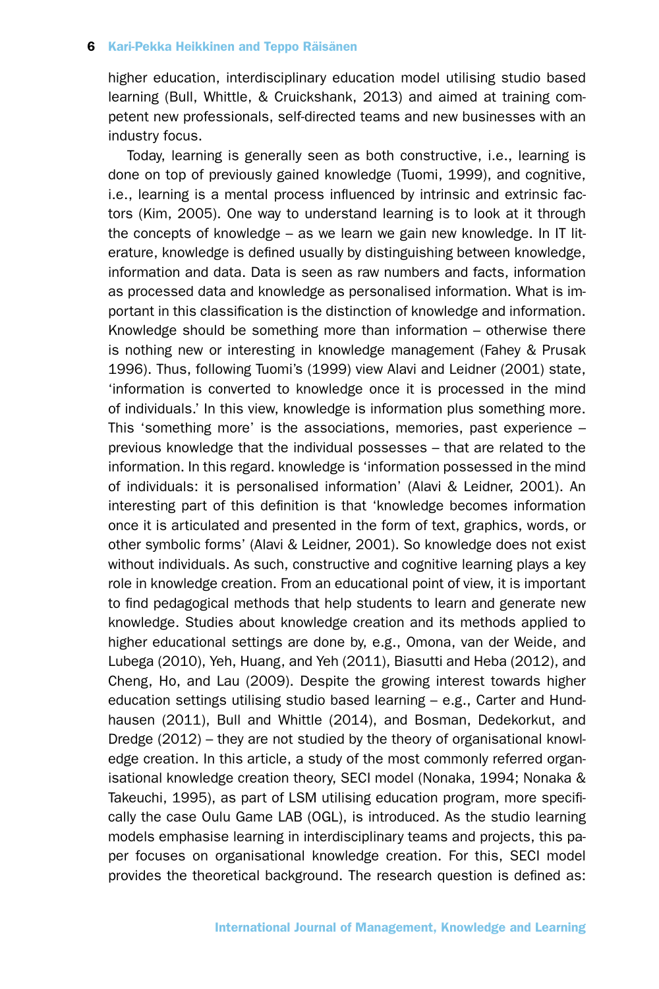higher education, interdisciplinary education model utilising studio based learning (Bull, Whittle, & Cruickshank, 2013) and aimed at training competent new professionals, self-directed teams and new businesses with an industry focus.

Today, learning is generally seen as both constructive, i.e., learning is done on top of previously gained knowledge (Tuomi, 1999), and cognitive, i.e., learning is a mental process influenced by intrinsic and extrinsic factors (Kim, 2005). One way to understand learning is to look at it through the concepts of knowledge – as we learn we gain new knowledge. In IT literature, knowledge is defined usually by distinguishing between knowledge, information and data. Data is seen as raw numbers and facts, information as processed data and knowledge as personalised information. What is important in this classification is the distinction of knowledge and information. Knowledge should be something more than information – otherwise there is nothing new or interesting in knowledge management (Fahey & Prusak 1996). Thus, following Tuomi's (1999) view Alavi and Leidner (2001) state, 'information is converted to knowledge once it is processed in the mind of individuals.' In this view, knowledge is information plus something more. This 'something more' is the associations, memories, past experience – previous knowledge that the individual possesses – that are related to the information. In this regard. knowledge is 'information possessed in the mind of individuals: it is personalised information' (Alavi & Leidner, 2001). An interesting part of this definition is that 'knowledge becomes information once it is articulated and presented in the form of text, graphics, words, or other symbolic forms' (Alavi & Leidner, 2001). So knowledge does not exist without individuals. As such, constructive and cognitive learning plays a key role in knowledge creation. From an educational point of view, it is important to find pedagogical methods that help students to learn and generate new knowledge. Studies about knowledge creation and its methods applied to higher educational settings are done by, e.g., Omona, van der Weide, and Lubega (2010), Yeh, Huang, and Yeh (2011), Biasutti and Heba (2012), and Cheng, Ho, and Lau (2009). Despite the growing interest towards higher education settings utilising studio based learning – e.g., Carter and Hundhausen (2011), Bull and Whittle (2014), and Bosman, Dedekorkut, and Dredge (2012) – they are not studied by the theory of organisational knowledge creation. In this article, a study of the most commonly referred organisational knowledge creation theory, SECI model (Nonaka, 1994; Nonaka & Takeuchi, 1995), as part of LSM utilising education program, more specifically the case Oulu Game LAB (OGL), is introduced. As the studio learning models emphasise learning in interdisciplinary teams and projects, this paper focuses on organisational knowledge creation. For this, SECI model provides the theoretical background. The research question is defined as: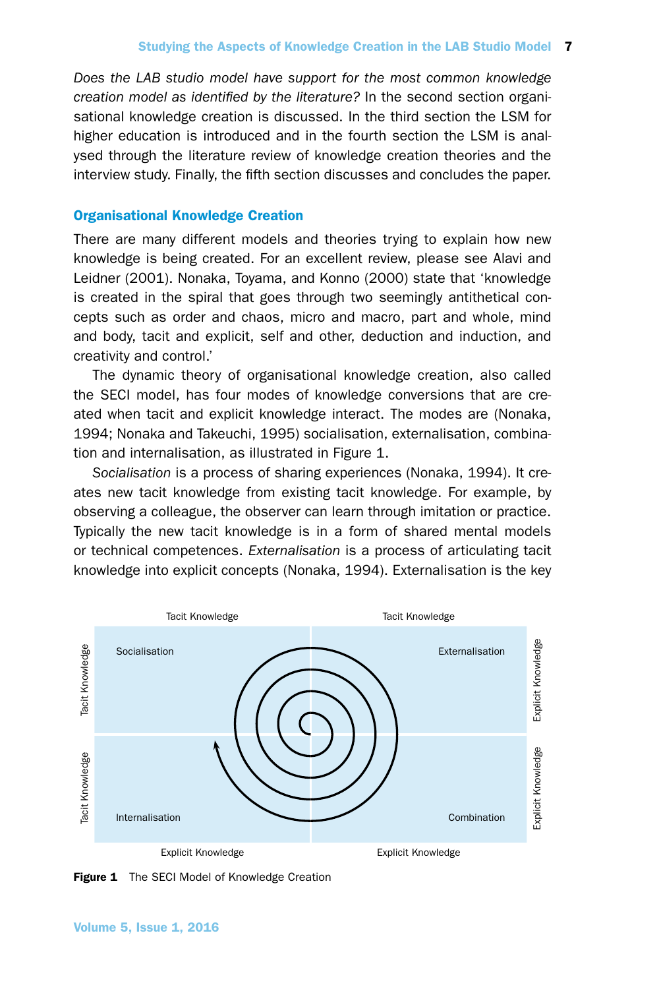*Does the LAB studio model have support for the most common knowledge creation model as identified by the literature?* In the second section organisational knowledge creation is discussed. In the third section the LSM for higher education is introduced and in the fourth section the LSM is analysed through the literature review of knowledge creation theories and the interview study. Finally, the fifth section discusses and concludes the paper.

# Organisational Knowledge Creation

There are many different models and theories trying to explain how new knowledge is being created. For an excellent review, please see Alavi and Leidner (2001). Nonaka, Toyama, and Konno (2000) state that 'knowledge is created in the spiral that goes through two seemingly antithetical concepts such as order and chaos, micro and macro, part and whole, mind and body, tacit and explicit, self and other, deduction and induction, and creativity and control.'

The dynamic theory of organisational knowledge creation, also called the SECI model, has four modes of knowledge conversions that are created when tacit and explicit knowledge interact. The modes are (Nonaka, 1994; Nonaka and Takeuchi, 1995) socialisation, externalisation, combination and internalisation, as illustrated in Figure 1.

*Socialisation* is a process of sharing experiences (Nonaka, 1994). It creates new tacit knowledge from existing tacit knowledge. For example, by observing a colleague, the observer can learn through imitation or practice. Typically the new tacit knowledge is in a form of shared mental models or technical competences. *Externalisation* is a process of articulating tacit knowledge into explicit concepts (Nonaka, 1994). Externalisation is the key



Figure 1 The SECI Model of Knowledge Creation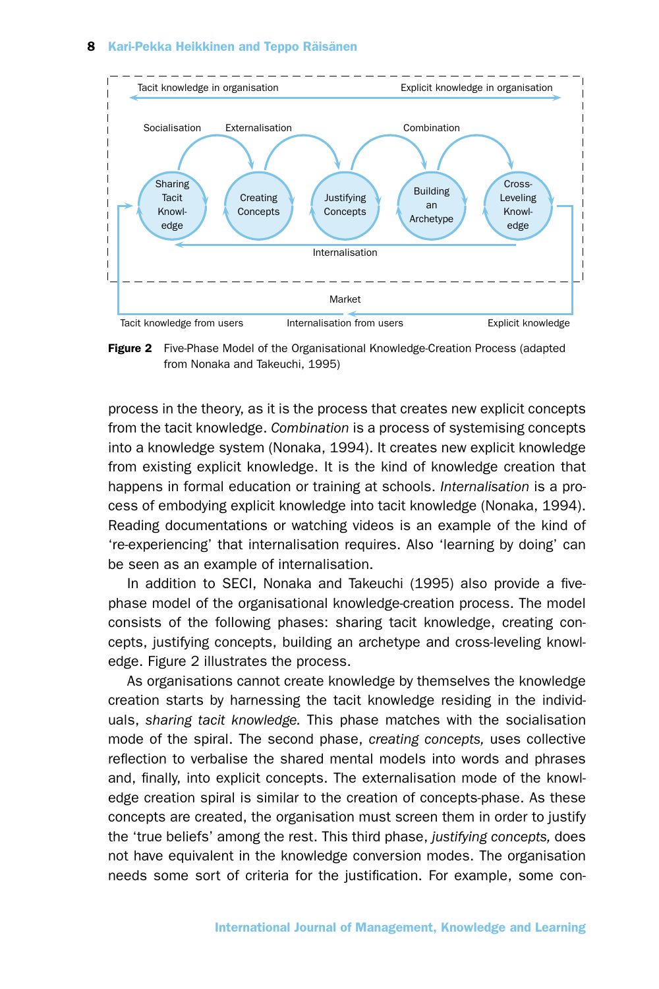

Figure 2 Five-Phase Model of the Organisational Knowledge-Creation Process (adapted from Nonaka and Takeuchi, 1995)

process in the theory, as it is the process that creates new explicit concepts from the tacit knowledge. *Combination* is a process of systemising concepts into a knowledge system (Nonaka, 1994). It creates new explicit knowledge from existing explicit knowledge. It is the kind of knowledge creation that happens in formal education or training at schools. *Internalisation* is a process of embodying explicit knowledge into tacit knowledge (Nonaka, 1994). Reading documentations or watching videos is an example of the kind of 're-experiencing' that internalisation requires. Also 'learning by doing' can be seen as an example of internalisation.

In addition to SECI, Nonaka and Takeuchi (1995) also provide a fivephase model of the organisational knowledge-creation process. The model consists of the following phases: sharing tacit knowledge, creating concepts, justifying concepts, building an archetype and cross-leveling knowledge. Figure 2 illustrates the process.

As organisations cannot create knowledge by themselves the knowledge creation starts by harnessing the tacit knowledge residing in the individuals, *sharing tacit knowledge.* This phase matches with the socialisation mode of the spiral. The second phase, *creating concepts,* uses collective reflection to verbalise the shared mental models into words and phrases and, finally, into explicit concepts. The externalisation mode of the knowledge creation spiral is similar to the creation of concepts-phase. As these concepts are created, the organisation must screen them in order to justify the 'true beliefs' among the rest. This third phase, *justifying concepts,* does not have equivalent in the knowledge conversion modes. The organisation needs some sort of criteria for the justification. For example, some con-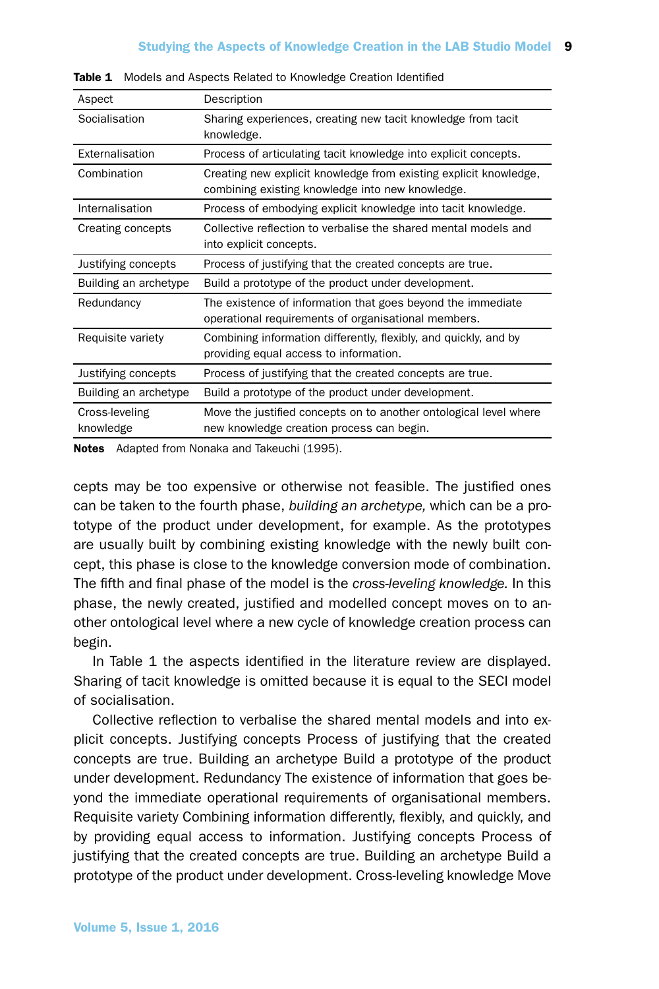| Aspect                      | Description                                                                                                           |
|-----------------------------|-----------------------------------------------------------------------------------------------------------------------|
| Socialisation               | Sharing experiences, creating new tacit knowledge from tacit<br>knowledge.                                            |
| Externalisation             | Process of articulating tacit knowledge into explicit concepts.                                                       |
| Combination                 | Creating new explicit knowledge from existing explicit knowledge,<br>combining existing knowledge into new knowledge. |
| Internalisation             | Process of embodying explicit knowledge into tacit knowledge.                                                         |
| Creating concepts           | Collective reflection to verbalise the shared mental models and<br>into explicit concepts.                            |
| Justifying concepts         | Process of justifying that the created concepts are true.                                                             |
| Building an archetype       | Build a prototype of the product under development.                                                                   |
| Redundancy                  | The existence of information that goes beyond the immediate<br>operational requirements of organisational members.    |
| Requisite variety           | Combining information differently, flexibly, and quickly, and by<br>providing equal access to information.            |
| Justifying concepts         | Process of justifying that the created concepts are true.                                                             |
| Building an archetype       | Build a prototype of the product under development.                                                                   |
| Cross-leveling<br>knowledge | Move the justified concepts on to another ontological level where<br>new knowledge creation process can begin.        |

Table 1 Models and Aspects Related to Knowledge Creation Identified

Notes Adapted from Nonaka and Takeuchi (1995).

cepts may be too expensive or otherwise not feasible. The justified ones can be taken to the fourth phase, *building an archetype,* which can be a prototype of the product under development, for example. As the prototypes are usually built by combining existing knowledge with the newly built concept, this phase is close to the knowledge conversion mode of combination. The fifth and final phase of the model is the *cross-leveling knowledge.* In this phase, the newly created, justified and modelled concept moves on to another ontological level where a new cycle of knowledge creation process can begin.

In Table 1 the aspects identified in the literature review are displayed. Sharing of tacit knowledge is omitted because it is equal to the SECI model of socialisation.

Collective reflection to verbalise the shared mental models and into explicit concepts. Justifying concepts Process of justifying that the created concepts are true. Building an archetype Build a prototype of the product under development. Redundancy The existence of information that goes beyond the immediate operational requirements of organisational members. Requisite variety Combining information differently, flexibly, and quickly, and by providing equal access to information. Justifying concepts Process of justifying that the created concepts are true. Building an archetype Build a prototype of the product under development. Cross-leveling knowledge Move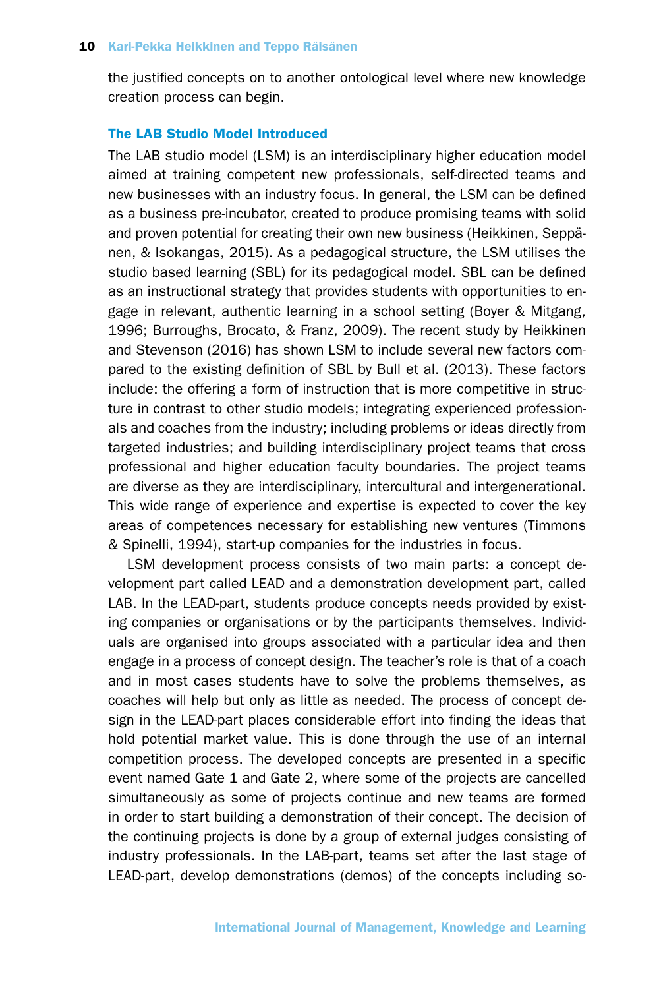the justified concepts on to another ontological level where new knowledge creation process can begin.

# The LAB Studio Model Introduced

The LAB studio model (LSM) is an interdisciplinary higher education model aimed at training competent new professionals, self-directed teams and new businesses with an industry focus. In general, the LSM can be defined as a business pre-incubator, created to produce promising teams with solid and proven potential for creating their own new business (Heikkinen, Seppänen, & Isokangas, 2015). As a pedagogical structure, the LSM utilises the studio based learning (SBL) for its pedagogical model. SBL can be defined as an instructional strategy that provides students with opportunities to engage in relevant, authentic learning in a school setting (Boyer & Mitgang, 1996; Burroughs, Brocato, & Franz, 2009). The recent study by Heikkinen and Stevenson (2016) has shown LSM to include several new factors compared to the existing definition of SBL by Bull et al. (2013). These factors include: the offering a form of instruction that is more competitive in structure in contrast to other studio models; integrating experienced professionals and coaches from the industry; including problems or ideas directly from targeted industries; and building interdisciplinary project teams that cross professional and higher education faculty boundaries. The project teams are diverse as they are interdisciplinary, intercultural and intergenerational. This wide range of experience and expertise is expected to cover the key areas of competences necessary for establishing new ventures (Timmons & Spinelli, 1994), start-up companies for the industries in focus.

LSM development process consists of two main parts: a concept development part called LEAD and a demonstration development part, called LAB. In the LEAD-part, students produce concepts needs provided by existing companies or organisations or by the participants themselves. Individuals are organised into groups associated with a particular idea and then engage in a process of concept design. The teacher's role is that of a coach and in most cases students have to solve the problems themselves, as coaches will help but only as little as needed. The process of concept design in the LEAD-part places considerable effort into finding the ideas that hold potential market value. This is done through the use of an internal competition process. The developed concepts are presented in a specific event named Gate 1 and Gate 2, where some of the projects are cancelled simultaneously as some of projects continue and new teams are formed in order to start building a demonstration of their concept. The decision of the continuing projects is done by a group of external judges consisting of industry professionals. In the LAB-part, teams set after the last stage of LEAD-part, develop demonstrations (demos) of the concepts including so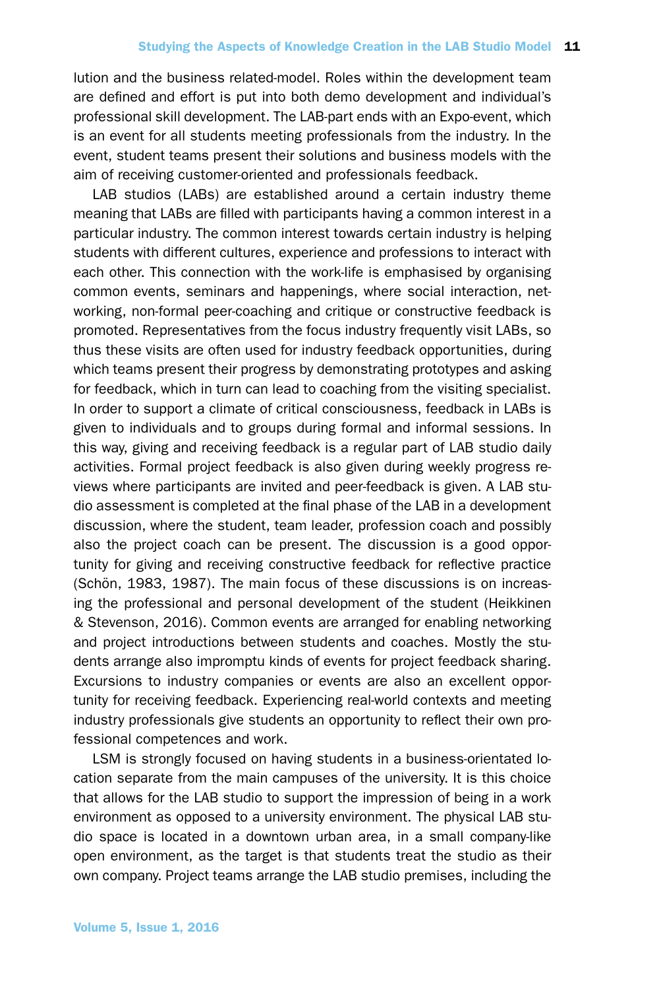lution and the business related-model. Roles within the development team are defined and effort is put into both demo development and individual's professional skill development. The LAB-part ends with an Expo-event, which is an event for all students meeting professionals from the industry. In the event, student teams present their solutions and business models with the aim of receiving customer-oriented and professionals feedback.

LAB studios (LABs) are established around a certain industry theme meaning that LABs are filled with participants having a common interest in a particular industry. The common interest towards certain industry is helping students with different cultures, experience and professions to interact with each other. This connection with the work-life is emphasised by organising common events, seminars and happenings, where social interaction, networking, non-formal peer-coaching and critique or constructive feedback is promoted. Representatives from the focus industry frequently visit LABs, so thus these visits are often used for industry feedback opportunities, during which teams present their progress by demonstrating prototypes and asking for feedback, which in turn can lead to coaching from the visiting specialist. In order to support a climate of critical consciousness, feedback in LABs is given to individuals and to groups during formal and informal sessions. In this way, giving and receiving feedback is a regular part of LAB studio daily activities. Formal project feedback is also given during weekly progress reviews where participants are invited and peer-feedback is given. A LAB studio assessment is completed at the final phase of the LAB in a development discussion, where the student, team leader, profession coach and possibly also the project coach can be present. The discussion is a good opportunity for giving and receiving constructive feedback for reflective practice (Schön, 1983, 1987). The main focus of these discussions is on increasing the professional and personal development of the student (Heikkinen & Stevenson, 2016). Common events are arranged for enabling networking and project introductions between students and coaches. Mostly the students arrange also impromptu kinds of events for project feedback sharing. Excursions to industry companies or events are also an excellent opportunity for receiving feedback. Experiencing real-world contexts and meeting industry professionals give students an opportunity to reflect their own professional competences and work.

LSM is strongly focused on having students in a business-orientated location separate from the main campuses of the university. It is this choice that allows for the LAB studio to support the impression of being in a work environment as opposed to a university environment. The physical LAB studio space is located in a downtown urban area, in a small company-like open environment, as the target is that students treat the studio as their own company. Project teams arrange the LAB studio premises, including the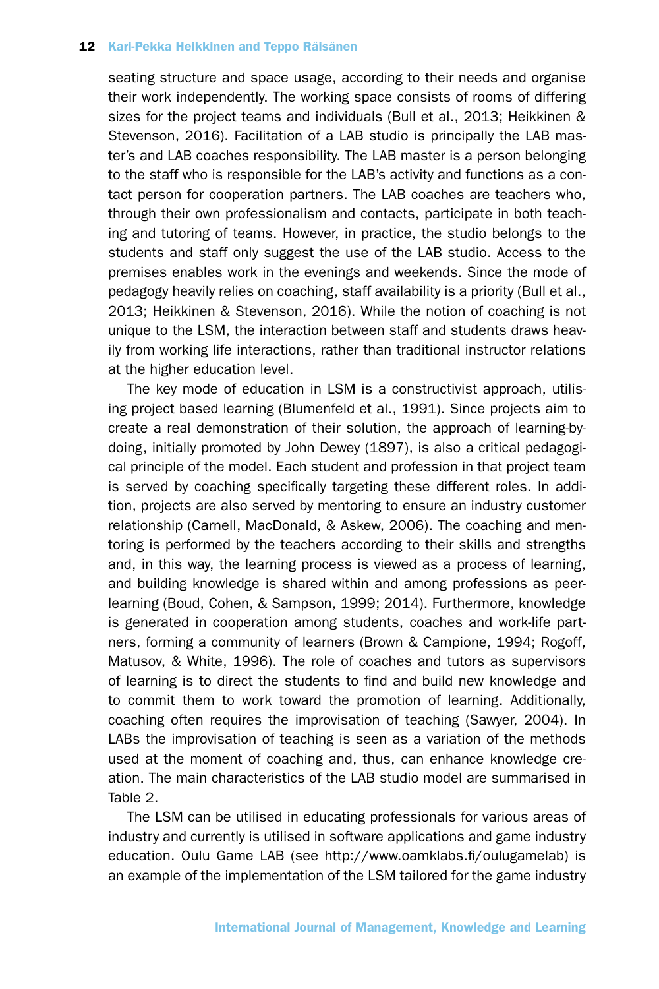seating structure and space usage, according to their needs and organise their work independently. The working space consists of rooms of differing sizes for the project teams and individuals (Bull et al., 2013; Heikkinen & Stevenson, 2016). Facilitation of a LAB studio is principally the LAB master's and LAB coaches responsibility. The LAB master is a person belonging to the staff who is responsible for the LAB's activity and functions as a contact person for cooperation partners. The LAB coaches are teachers who, through their own professionalism and contacts, participate in both teaching and tutoring of teams. However, in practice, the studio belongs to the students and staff only suggest the use of the LAB studio. Access to the premises enables work in the evenings and weekends. Since the mode of pedagogy heavily relies on coaching, staff availability is a priority (Bull et al., 2013; Heikkinen & Stevenson, 2016). While the notion of coaching is not unique to the LSM, the interaction between staff and students draws heavily from working life interactions, rather than traditional instructor relations at the higher education level.

The key mode of education in LSM is a constructivist approach, utilising project based learning (Blumenfeld et al., 1991). Since projects aim to create a real demonstration of their solution, the approach of learning-bydoing, initially promoted by John Dewey (1897), is also a critical pedagogical principle of the model. Each student and profession in that project team is served by coaching specifically targeting these different roles. In addition, projects are also served by mentoring to ensure an industry customer relationship (Carnell, MacDonald, & Askew, 2006). The coaching and mentoring is performed by the teachers according to their skills and strengths and, in this way, the learning process is viewed as a process of learning, and building knowledge is shared within and among professions as peerlearning (Boud, Cohen, & Sampson, 1999; 2014). Furthermore, knowledge is generated in cooperation among students, coaches and work-life partners, forming a community of learners (Brown & Campione, 1994; Rogoff, Matusov, & White, 1996). The role of coaches and tutors as supervisors of learning is to direct the students to find and build new knowledge and to commit them to work toward the promotion of learning. Additionally, coaching often requires the improvisation of teaching (Sawyer, 2004). In LABs the improvisation of teaching is seen as a variation of the methods used at the moment of coaching and, thus, can enhance knowledge creation. The main characteristics of the LAB studio model are summarised in Table 2.

The LSM can be utilised in educating professionals for various areas of industry and currently is utilised in software applications and game industry education. Oulu Game LAB (see http://www.oamklabs.fi/oulugamelab) is an example of the implementation of the LSM tailored for the game industry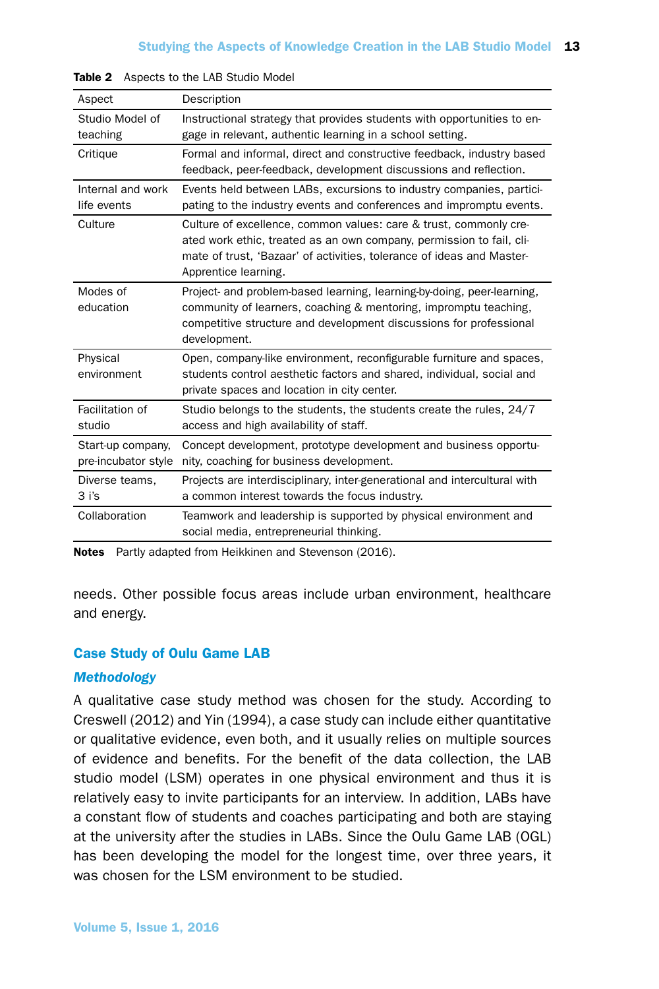| Aspect                                   | Description                                                                                                                                                                                                                                |
|------------------------------------------|--------------------------------------------------------------------------------------------------------------------------------------------------------------------------------------------------------------------------------------------|
| Studio Model of<br>teaching              | Instructional strategy that provides students with opportunities to en-<br>gage in relevant, authentic learning in a school setting.                                                                                                       |
| Critique                                 | Formal and informal, direct and constructive feedback, industry based<br>feedback, peer-feedback, development discussions and reflection.                                                                                                  |
| Internal and work<br>life events         | Events held between LABs, excursions to industry companies, partici-<br>pating to the industry events and conferences and impromptu events.                                                                                                |
| Culture                                  | Culture of excellence, common values: care & trust, commonly cre-<br>ated work ethic, treated as an own company, permission to fail, cli-<br>mate of trust, 'Bazaar' of activities, tolerance of ideas and Master-<br>Apprentice learning. |
| Modes of<br>education                    | Project- and problem-based learning, learning-by-doing, peer-learning,<br>community of learners, coaching & mentoring, impromptu teaching,<br>competitive structure and development discussions for professional<br>development.           |
| Physical<br>environment                  | Open, company-like environment, reconfigurable furniture and spaces,<br>students control aesthetic factors and shared, individual, social and<br>private spaces and location in city center.                                               |
| Facilitation of<br>studio                | Studio belongs to the students, the students create the rules, 24/7<br>access and high availability of staff.                                                                                                                              |
| Start-up company,<br>pre-incubator style | Concept development, prototype development and business opportu-<br>nity, coaching for business development.                                                                                                                               |
| Diverse teams,<br>$3$ i's                | Projects are interdisciplinary, inter-generational and intercultural with<br>a common interest towards the focus industry.                                                                                                                 |
| Collaboration                            | Teamwork and leadership is supported by physical environment and<br>social media, entrepreneurial thinking.                                                                                                                                |

| Table 2 Aspects to the LAB Studio Model |  |  |
|-----------------------------------------|--|--|
|                                         |  |  |

Notes Partly adapted from Heikkinen and Stevenson (2016).

needs. Other possible focus areas include urban environment, healthcare and energy.

## Case Study of Oulu Game LAB

## *Methodology*

A qualitative case study method was chosen for the study. According to Creswell (2012) and Yin (1994), a case study can include either quantitative or qualitative evidence, even both, and it usually relies on multiple sources of evidence and benefits. For the benefit of the data collection, the LAB studio model (LSM) operates in one physical environment and thus it is relatively easy to invite participants for an interview. In addition, LABs have a constant flow of students and coaches participating and both are staying at the university after the studies in LABs. Since the Oulu Game LAB (OGL) has been developing the model for the longest time, over three years, it was chosen for the LSM environment to be studied.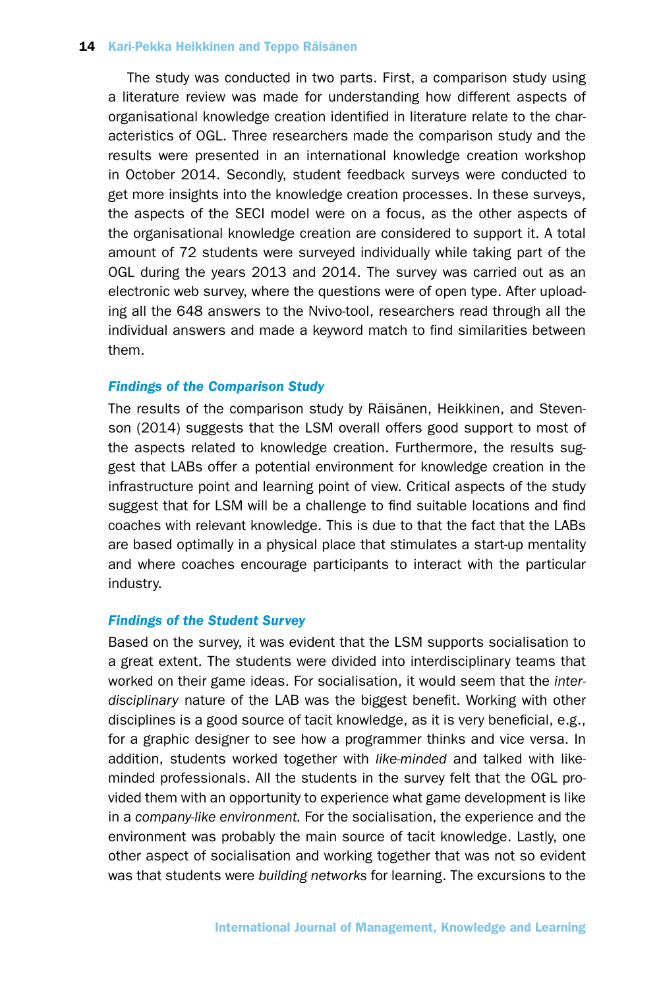The study was conducted in two parts. First, a comparison study using a literature review was made for understanding how different aspects of organisational knowledge creation identified in literature relate to the characteristics of OGL. Three researchers made the comparison study and the results were presented in an international knowledge creation workshop in October 2014. Secondly, student feedback surveys were conducted to get more insights into the knowledge creation processes. In these surveys, the aspects of the SECI model were on a focus, as the other aspects of the organisational knowledge creation are considered to support it. A total amount of 72 students were surveyed individually while taking part of the OGL during the years 2013 and 2014. The survey was carried out as an electronic web survey, where the questions were of open type. After uploading all the 648 answers to the Nvivo-tool, researchers read through all the individual answers and made a keyword match to find similarities between them.

## *Findings of the Comparison Study*

The results of the comparison study by Räisänen, Heikkinen, and Stevenson (2014) suggests that the LSM overall offers good support to most of the aspects related to knowledge creation. Furthermore, the results suggest that LABs offer a potential environment for knowledge creation in the infrastructure point and learning point of view. Critical aspects of the study suggest that for LSM will be a challenge to find suitable locations and find coaches with relevant knowledge. This is due to that the fact that the LABs are based optimally in a physical place that stimulates a start-up mentality and where coaches encourage participants to interact with the particular industry.

## *Findings of the Student Survey*

Based on the survey, it was evident that the LSM supports socialisation to a great extent. The students were divided into interdisciplinary teams that worked on their game ideas. For socialisation, it would seem that the *interdisciplinary* nature of the LAB was the biggest benefit. Working with other disciplines is a good source of tacit knowledge, as it is very beneficial, e.g., for a graphic designer to see how a programmer thinks and vice versa. In addition, students worked together with *like-minded* and talked with likeminded professionals. All the students in the survey felt that the OGL provided them with an opportunity to experience what game development is like in a *company-like environment.* For the socialisation, the experience and the environment was probably the main source of tacit knowledge. Lastly, one other aspect of socialisation and working together that was not so evident was that students were *building networks* for learning. The excursions to the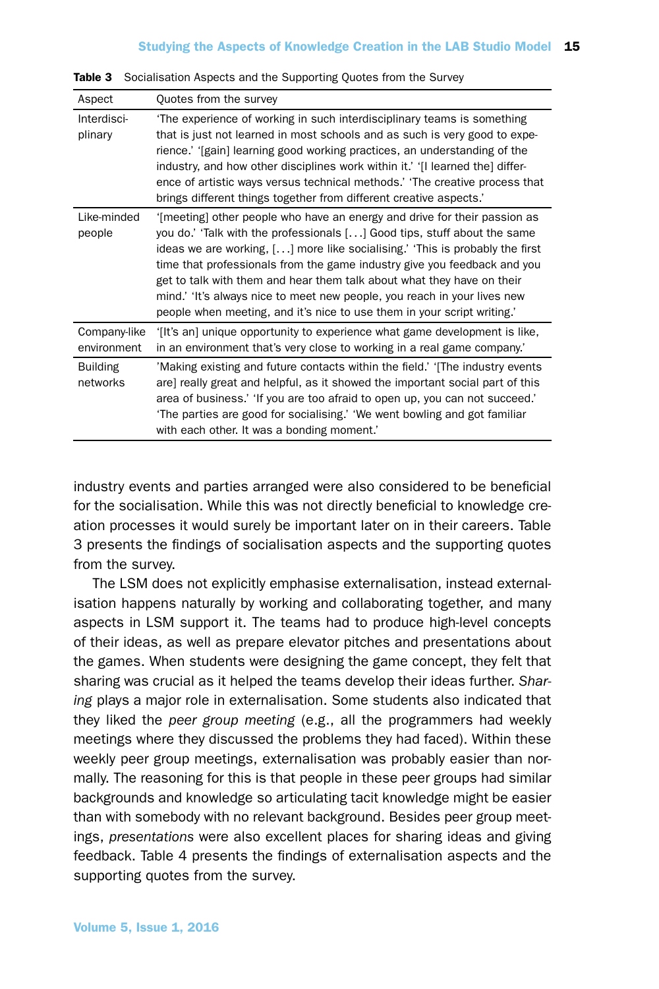| Aspect                      | Quotes from the survey                                                                                                                                                                                                                                                                                                                                                                                                                                                                                                                             |
|-----------------------------|----------------------------------------------------------------------------------------------------------------------------------------------------------------------------------------------------------------------------------------------------------------------------------------------------------------------------------------------------------------------------------------------------------------------------------------------------------------------------------------------------------------------------------------------------|
| Interdisci-<br>plinary      | The experience of working in such interdisciplinary teams is something<br>that is just not learned in most schools and as such is very good to expe-<br>rience.' '[gain] learning good working practices, an understanding of the<br>industry, and how other disciplines work within it.' '[I learned the] differ-<br>ence of artistic ways versus technical methods.' 'The creative process that<br>brings different things together from different creative aspects.'                                                                            |
| Like-minded<br>people       | '[meeting] other people who have an energy and drive for their passion as<br>you do.' 'Talk with the professionals [] Good tips, stuff about the same<br>ideas we are working, $[]$ more like socialising.' This is probably the first<br>time that professionals from the game industry give you feedback and you<br>get to talk with them and hear them talk about what they have on their<br>mind.' 'It's always nice to meet new people, you reach in your lives new<br>people when meeting, and it's nice to use them in your script writing. |
| Company-like<br>environment | '[It's an] unique opportunity to experience what game development is like,<br>in an environment that's very close to working in a real game company.                                                                                                                                                                                                                                                                                                                                                                                               |
| <b>Building</b><br>networks | 'Making existing and future contacts within the field.' 'The industry events<br>are] really great and helpful, as it showed the important social part of this<br>area of business.' 'If you are too afraid to open up, you can not succeed.'<br>'The parties are good for socialising.' 'We went bowling and got familiar<br>with each other. It was a bonding moment.'                                                                                                                                                                            |

Table 3 Socialisation Aspects and the Supporting Quotes from the Survey

industry events and parties arranged were also considered to be beneficial for the socialisation. While this was not directly beneficial to knowledge creation processes it would surely be important later on in their careers. Table 3 presents the findings of socialisation aspects and the supporting quotes from the survey.

The LSM does not explicitly emphasise externalisation, instead externalisation happens naturally by working and collaborating together, and many aspects in LSM support it. The teams had to produce high-level concepts of their ideas, as well as prepare elevator pitches and presentations about the games. When students were designing the game concept, they felt that sharing was crucial as it helped the teams develop their ideas further. *Sharing* plays a major role in externalisation. Some students also indicated that they liked the *peer group meeting* (e.g., all the programmers had weekly meetings where they discussed the problems they had faced). Within these weekly peer group meetings, externalisation was probably easier than normally. The reasoning for this is that people in these peer groups had similar backgrounds and knowledge so articulating tacit knowledge might be easier than with somebody with no relevant background. Besides peer group meetings, *presentations* were also excellent places for sharing ideas and giving feedback. Table 4 presents the findings of externalisation aspects and the supporting quotes from the survey.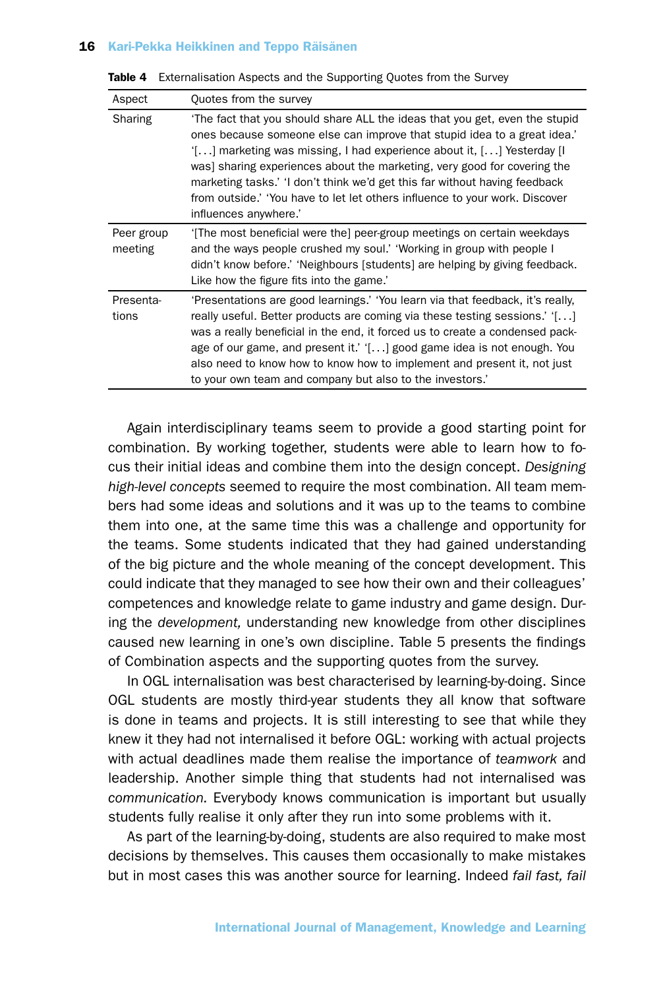| Aspect                | Quotes from the survey                                                                                                                                                                                                                                                                                                                                                                                                                                                                                      |
|-----------------------|-------------------------------------------------------------------------------------------------------------------------------------------------------------------------------------------------------------------------------------------------------------------------------------------------------------------------------------------------------------------------------------------------------------------------------------------------------------------------------------------------------------|
| Sharing               | The fact that you should share ALL the ideas that you get, even the stupid<br>ones because someone else can improve that stupid idea to a great idea.<br>$[1, 1]$ marketing was missing, I had experience about it, $[1, 1]$ Yesterday II<br>was] sharing experiences about the marketing, very good for covering the<br>marketing tasks.' 'I don't think we'd get this far without having feedback<br>from outside.' 'You have to let let others influence to your work. Discover<br>influences anywhere.' |
| Peer group<br>meeting | '[The most beneficial were the] peer-group meetings on certain weekdays<br>and the ways people crushed my soul.' 'Working in group with people I<br>didn't know before.' 'Neighbours [students] are helping by giving feedback.<br>Like how the figure fits into the game.                                                                                                                                                                                                                                  |
| Presenta-<br>tions    | 'Presentations are good learnings.' 'You learn via that feedback, it's really,<br>really useful. Better products are coming via these testing sessions.' $[]$<br>was a really beneficial in the end, it forced us to create a condensed pack-<br>age of our game, and present it.' $[]$ good game idea is not enough. You<br>also need to know how to know how to implement and present it, not just<br>to your own team and company but also to the investors.                                             |

Table 4 Externalisation Aspects and the Supporting Quotes from the Survey

Again interdisciplinary teams seem to provide a good starting point for combination. By working together, students were able to learn how to focus their initial ideas and combine them into the design concept. *Designing high-level concepts* seemed to require the most combination. All team members had some ideas and solutions and it was up to the teams to combine them into one, at the same time this was a challenge and opportunity for the teams. Some students indicated that they had gained understanding of the big picture and the whole meaning of the concept development. This could indicate that they managed to see how their own and their colleagues' competences and knowledge relate to game industry and game design. During the *development,* understanding new knowledge from other disciplines caused new learning in one's own discipline. Table 5 presents the findings of Combination aspects and the supporting quotes from the survey.

In OGL internalisation was best characterised by learning-by-doing. Since OGL students are mostly third-year students they all know that software is done in teams and projects. It is still interesting to see that while they knew it they had not internalised it before OGL: working with actual projects with actual deadlines made them realise the importance of *teamwork* and leadership. Another simple thing that students had not internalised was *communication.* Everybody knows communication is important but usually students fully realise it only after they run into some problems with it.

As part of the learning-by-doing, students are also required to make most decisions by themselves. This causes them occasionally to make mistakes but in most cases this was another source for learning. Indeed *fail fast, fail*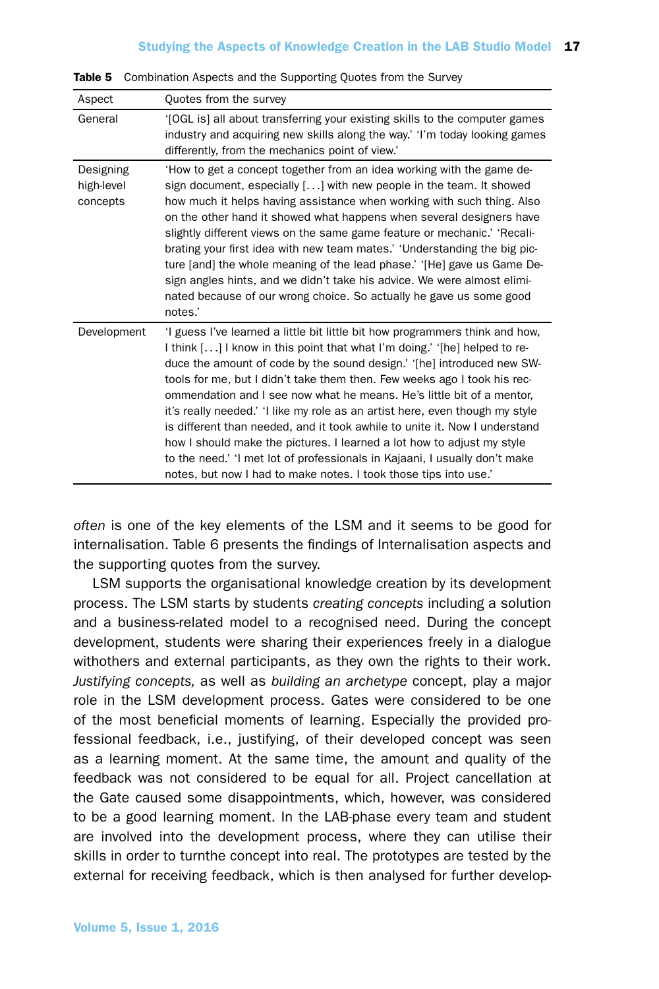| Aspect                              | Quotes from the survey                                                                                                                                                                                                                                                                                                                                                                                                                                                                                                                                                                                                                                                                                                                                                             |
|-------------------------------------|------------------------------------------------------------------------------------------------------------------------------------------------------------------------------------------------------------------------------------------------------------------------------------------------------------------------------------------------------------------------------------------------------------------------------------------------------------------------------------------------------------------------------------------------------------------------------------------------------------------------------------------------------------------------------------------------------------------------------------------------------------------------------------|
| General                             | '[OGL is] all about transferring your existing skills to the computer games<br>industry and acquiring new skills along the way.' 'I'm today looking games<br>differently, from the mechanics point of view.'                                                                                                                                                                                                                                                                                                                                                                                                                                                                                                                                                                       |
| Designing<br>high-level<br>concepts | 'How to get a concept together from an idea working with the game de-<br>sign document, especially [] with new people in the team. It showed<br>how much it helps having assistance when working with such thing. Also<br>on the other hand it showed what happens when several designers have<br>slightly different views on the same game feature or mechanic.' 'Recali-<br>brating your first idea with new team mates.' 'Understanding the big pic-<br>ture [and] the whole meaning of the lead phase.' '[He] gave us Game De-<br>sign angles hints, and we didn't take his advice. We were almost elimi-<br>nated because of our wrong choice. So actually he gave us some good<br>notes.'                                                                                    |
| Development                         | 'I guess I've learned a little bit little bit how programmers think and how,<br>I think [] I know in this point that what I'm doing.' '[he] helped to re-<br>duce the amount of code by the sound design.' '[he] introduced new SW-<br>tools for me, but I didn't take them then. Few weeks ago I took his rec-<br>ommendation and I see now what he means. He's little bit of a mentor,<br>it's really needed.' 'I like my role as an artist here, even though my style<br>is different than needed, and it took awhile to unite it. Now I understand<br>how I should make the pictures. I learned a lot how to adjust my style<br>to the need.' 'I met lot of professionals in Kajaani, I usually don't make<br>notes, but now I had to make notes. I took those tips into use.' |

Table 5 Combination Aspects and the Supporting Quotes from the Survey

*often* is one of the key elements of the LSM and it seems to be good for internalisation. Table 6 presents the findings of Internalisation aspects and the supporting quotes from the survey.

LSM supports the organisational knowledge creation by its development process. The LSM starts by students *creating concepts* including a solution and a business-related model to a recognised need. During the concept development, students were sharing their experiences freely in a dialogue withothers and external participants, as they own the rights to their work. *Justifying concepts,* as well as *building an archetype* concept, play a major role in the LSM development process. Gates were considered to be one of the most beneficial moments of learning. Especially the provided professional feedback, i.e., justifying, of their developed concept was seen as a learning moment. At the same time, the amount and quality of the feedback was not considered to be equal for all. Project cancellation at the Gate caused some disappointments, which, however, was considered to be a good learning moment. In the LAB-phase every team and student are involved into the development process, where they can utilise their skills in order to turnthe concept into real. The prototypes are tested by the external for receiving feedback, which is then analysed for further develop-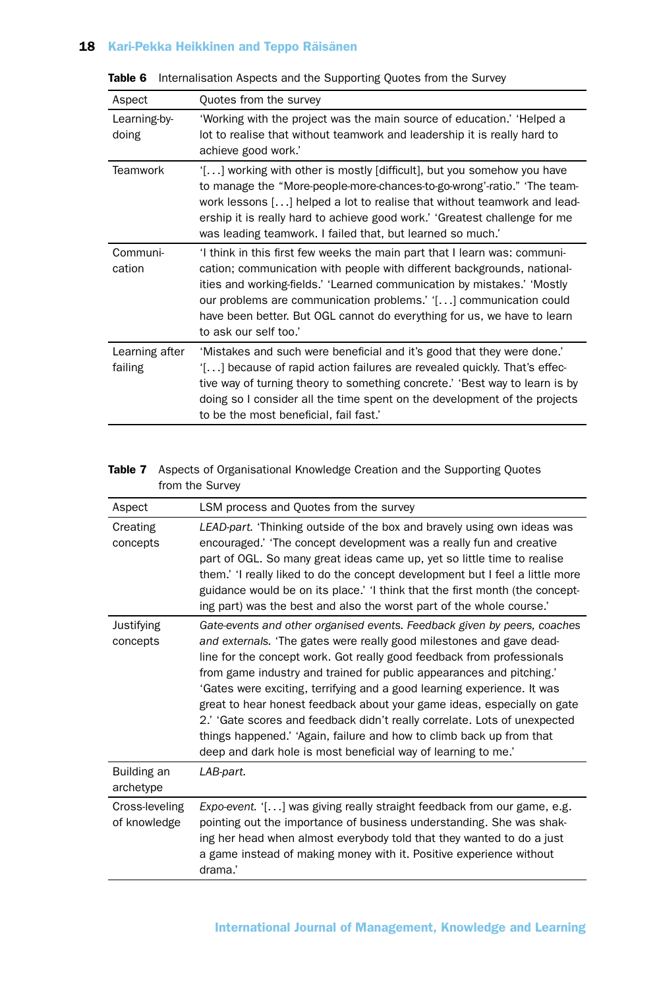| Aspect                    | Quotes from the survey                                                                                                                                                                                                                                                                                                                                                                                   |
|---------------------------|----------------------------------------------------------------------------------------------------------------------------------------------------------------------------------------------------------------------------------------------------------------------------------------------------------------------------------------------------------------------------------------------------------|
| Learning-by-<br>doing     | 'Working with the project was the main source of education.' 'Helped a<br>lot to realise that without teamwork and leadership it is really hard to<br>achieve good work.'                                                                                                                                                                                                                                |
| Teamwork                  | '[] working with other is mostly [difficult], but you somehow you have<br>to manage the "More-people-more-chances-to-go-wrong'-ratio." 'The team-<br>work lessons [] helped a lot to realise that without teamwork and lead-<br>ership it is really hard to achieve good work.' 'Greatest challenge for me<br>was leading teamwork. I failed that, but learned so much.'                                 |
| Communi-<br>cation        | 'I think in this first few weeks the main part that I learn was: communi-<br>cation; communication with people with different backgrounds, national-<br>ities and working-fields.' 'Learned communication by mistakes.' 'Mostly<br>our problems are communication problems.' '[] communication could<br>have been better. But OGL cannot do everything for us, we have to learn<br>to ask our self too.' |
| Learning after<br>failing | 'Mistakes and such were beneficial and it's good that they were done.'<br>'[] because of rapid action failures are revealed quickly. That's effec-<br>tive way of turning theory to something concrete.' 'Best way to learn is by<br>doing so I consider all the time spent on the development of the projects<br>to be the most beneficial, fail fast.'                                                 |

Table 6 Internalisation Aspects and the Supporting Quotes from the Survey

## Table 7 Aspects of Organisational Knowledge Creation and the Supporting Quotes from the Survey

| Aspect                         | LSM process and Quotes from the survey                                                                                                                                                                                                                                                                                                                                                                                                                                                                                                                                                                                                                                         |
|--------------------------------|--------------------------------------------------------------------------------------------------------------------------------------------------------------------------------------------------------------------------------------------------------------------------------------------------------------------------------------------------------------------------------------------------------------------------------------------------------------------------------------------------------------------------------------------------------------------------------------------------------------------------------------------------------------------------------|
| Creating<br>concepts           | LEAD-part. 'Thinking outside of the box and bravely using own ideas was<br>encouraged.' 'The concept development was a really fun and creative<br>part of OGL. So many great ideas came up, yet so little time to realise<br>them.' 'I really liked to do the concept development but I feel a little more<br>guidance would be on its place.' 'I think that the first month (the concept-<br>ing part) was the best and also the worst part of the whole course.                                                                                                                                                                                                              |
| Justifying<br>concepts         | Gate-events and other organised events. Feedback given by peers, coaches<br>and externals. 'The gates were really good milestones and gave dead-<br>line for the concept work. Got really good feedback from professionals<br>from game industry and trained for public appearances and pitching."<br>'Gates were exciting, terrifying and a good learning experience. It was<br>great to hear honest feedback about your game ideas, especially on gate<br>2.' 'Gate scores and feedback didn't really correlate. Lots of unexpected<br>things happened.' 'Again, failure and how to climb back up from that<br>deep and dark hole is most beneficial way of learning to me.' |
| Building an<br>archetype       | LAB-part.                                                                                                                                                                                                                                                                                                                                                                                                                                                                                                                                                                                                                                                                      |
| Cross-leveling<br>of knowledge | Expo-event. '[] was giving really straight feedback from our game, e.g.<br>pointing out the importance of business understanding. She was shak-<br>ing her head when almost everybody told that they wanted to do a just<br>a game instead of making money with it. Positive experience without<br>drama.'                                                                                                                                                                                                                                                                                                                                                                     |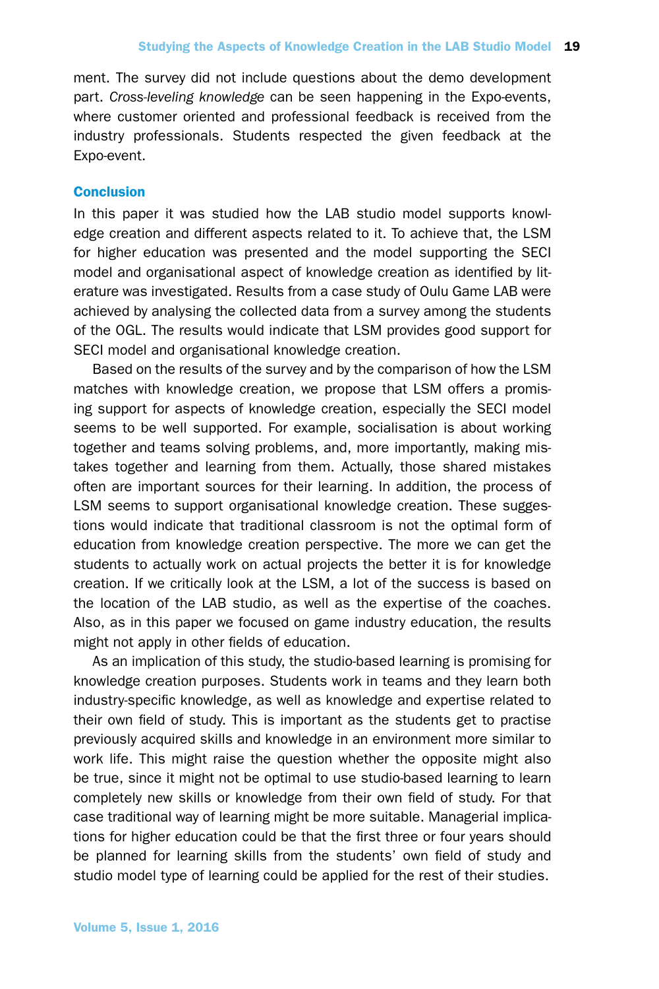ment. The survey did not include questions about the demo development part. *Cross-leveling knowledge* can be seen happening in the Expo-events, where customer oriented and professional feedback is received from the industry professionals. Students respected the given feedback at the Expo-event.

## **Conclusion**

In this paper it was studied how the LAB studio model supports knowledge creation and different aspects related to it. To achieve that, the LSM for higher education was presented and the model supporting the SECI model and organisational aspect of knowledge creation as identified by literature was investigated. Results from a case study of Oulu Game LAB were achieved by analysing the collected data from a survey among the students of the OGL. The results would indicate that LSM provides good support for SECI model and organisational knowledge creation.

Based on the results of the survey and by the comparison of how the LSM matches with knowledge creation, we propose that LSM offers a promising support for aspects of knowledge creation, especially the SECI model seems to be well supported. For example, socialisation is about working together and teams solving problems, and, more importantly, making mistakes together and learning from them. Actually, those shared mistakes often are important sources for their learning. In addition, the process of LSM seems to support organisational knowledge creation. These suggestions would indicate that traditional classroom is not the optimal form of education from knowledge creation perspective. The more we can get the students to actually work on actual projects the better it is for knowledge creation. If we critically look at the LSM, a lot of the success is based on the location of the LAB studio, as well as the expertise of the coaches. Also, as in this paper we focused on game industry education, the results might not apply in other fields of education.

As an implication of this study, the studio-based learning is promising for knowledge creation purposes. Students work in teams and they learn both industry-specific knowledge, as well as knowledge and expertise related to their own field of study. This is important as the students get to practise previously acquired skills and knowledge in an environment more similar to work life. This might raise the question whether the opposite might also be true, since it might not be optimal to use studio-based learning to learn completely new skills or knowledge from their own field of study. For that case traditional way of learning might be more suitable. Managerial implications for higher education could be that the first three or four years should be planned for learning skills from the students' own field of study and studio model type of learning could be applied for the rest of their studies.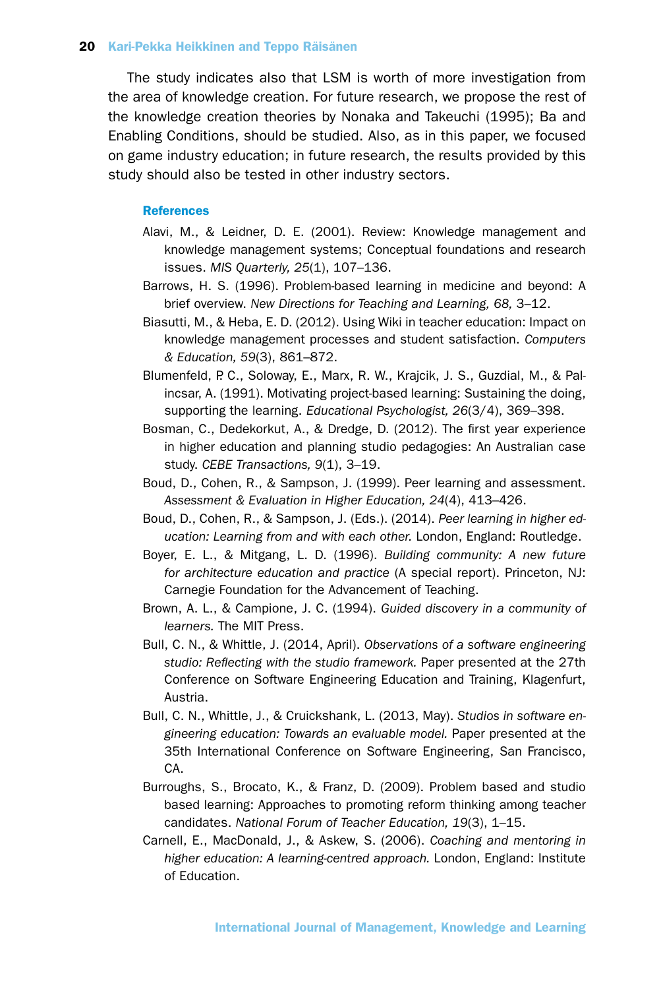The study indicates also that LSM is worth of more investigation from the area of knowledge creation. For future research, we propose the rest of the knowledge creation theories by Nonaka and Takeuchi (1995); Ba and Enabling Conditions, should be studied. Also, as in this paper, we focused on game industry education; in future research, the results provided by this study should also be tested in other industry sectors.

#### References

- Alavi, M., & Leidner, D. E. (2001). Review: Knowledge management and knowledge management systems; Conceptual foundations and research issues. *MIS Quarterly, 25*(1), 107–136.
- Barrows, H. S. (1996). Problem-based learning in medicine and beyond: A brief overview. *New Directions for Teaching and Learning, 68,* 3–12.
- Biasutti, M., & Heba, E. D. (2012). Using Wiki in teacher education: Impact on knowledge management processes and student satisfaction. *Computers & Education, 59*(3), 861–872.
- Blumenfeld, P. C., Soloway, E., Marx, R. W., Krajcik, J. S., Guzdial, M., & Palincsar, A. (1991). Motivating project-based learning: Sustaining the doing, supporting the learning. *Educational Psychologist, 26*(3/4), 369–398.
- Bosman, C., Dedekorkut, A., & Dredge, D. (2012). The first year experience in higher education and planning studio pedagogies: An Australian case study. *CEBE Transactions, 9*(1), 3–19.
- Boud, D., Cohen, R., & Sampson, J. (1999). Peer learning and assessment. *Assessment & Evaluation in Higher Education, 24*(4), 413–426.
- Boud, D., Cohen, R., & Sampson, J. (Eds.). (2014). *Peer learning in higher education: Learning from and with each other.* London, England: Routledge.
- Boyer, E. L., & Mitgang, L. D. (1996). *Building community: A new future for architecture education and practice* (A special report). Princeton, NJ: Carnegie Foundation for the Advancement of Teaching.
- Brown, A. L., & Campione, J. C. (1994). *Guided discovery in a community of learners.* The MIT Press.
- Bull, C. N., & Whittle, J. (2014, April). *Observations of a software engineering studio: Reflecting with the studio framework.* Paper presented at the 27th Conference on Software Engineering Education and Training, Klagenfurt, Austria.
- Bull, C. N., Whittle, J., & Cruickshank, L. (2013, May). *Studios in software engineering education: Towards an evaluable model.* Paper presented at the 35th International Conference on Software Engineering, San Francisco, CA.
- Burroughs, S., Brocato, K., & Franz, D. (2009). Problem based and studio based learning: Approaches to promoting reform thinking among teacher candidates. *National Forum of Teacher Education, 19*(3), 1–15.
- Carnell, E., MacDonald, J., & Askew, S. (2006). *Coaching and mentoring in higher education: A learning-centred approach.* London, England: Institute of Education.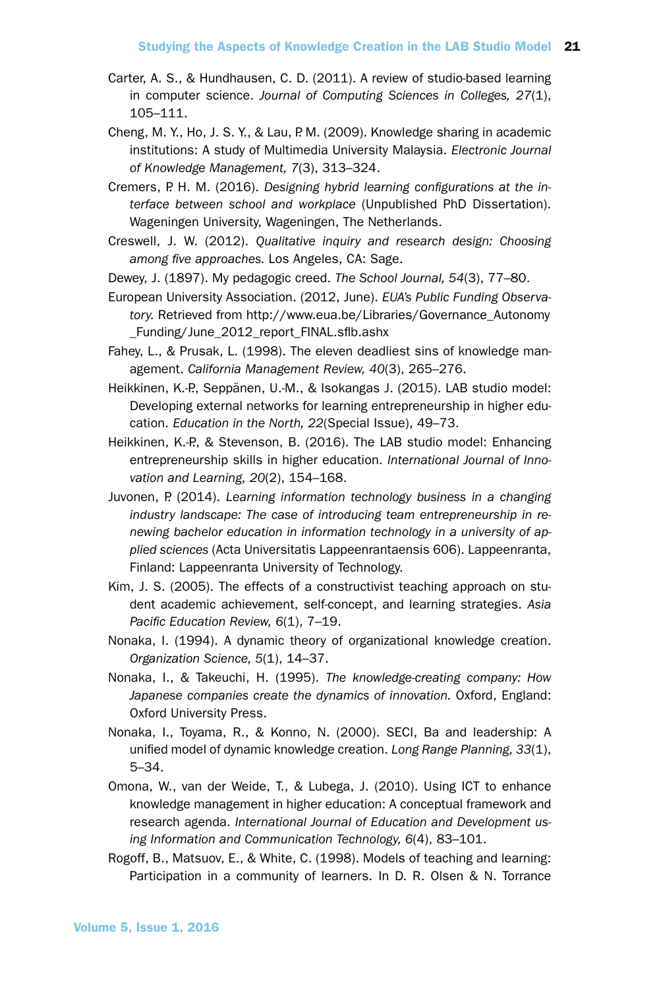- Carter, A. S., & Hundhausen, C. D. (2011). A review of studio-based learning in computer science. *Journal of Computing Sciences in Colleges, 27*(1), 105–111.
- Cheng, M. Y., Ho, J. S. Y., & Lau, P. M. (2009). Knowledge sharing in academic institutions: A study of Multimedia University Malaysia. *Electronic Journal of Knowledge Management, 7*(3), 313–324.
- Cremers, P. H. M. (2016). *Designing hybrid learning configurations at the interface between school and workplace* (Unpublished PhD Dissertation). Wageningen University, Wageningen, The Netherlands.
- Creswell, J. W. (2012). *Qualitative inquiry and research design: Choosing among five approaches.* Los Angeles, CA: Sage.
- Dewey, J. (1897). My pedagogic creed. *The School Journal, 54*(3), 77–80.
- European University Association. (2012, June). *EUA's Public Funding Observatory.* Retrieved from http://www.eua.be/Libraries/Governance\_Autonomy \_Funding/June\_2012\_report\_FINAL.sflb.ashx
- Fahey, L., & Prusak, L. (1998). The eleven deadliest sins of knowledge management. *California Management Review, 40*(3), 265–276.
- Heikkinen, K.-P., Seppänen, U.-M., & Isokangas J. (2015). LAB studio model: Developing external networks for learning entrepreneurship in higher education. *Education in the North, 22*(Special Issue), 49–73.
- Heikkinen, K.-P., & Stevenson, B. (2016). The LAB studio model: Enhancing entrepreneurship skills in higher education. *International Journal of Innovation and Learning, 20*(2), 154–168.
- Juvonen, P. (2014). *Learning information technology business in a changing industry landscape: The case of introducing team entrepreneurship in renewing bachelor education in information technology in a university of applied sciences* (Acta Universitatis Lappeenrantaensis 606). Lappeenranta, Finland: Lappeenranta University of Technology.
- Kim, J. S. (2005). The effects of a constructivist teaching approach on student academic achievement, self-concept, and learning strategies. *Asia Pacific Education Review, 6*(1), 7–19.
- Nonaka, I. (1994). A dynamic theory of organizational knowledge creation. *Organization Science, 5*(1), 14–37.
- Nonaka, I., & Takeuchi, H. (1995). *The knowledge-creating company: How Japanese companies create the dynamics of innovation.* Oxford, England: Oxford University Press.
- Nonaka, I., Toyama, R., & Konno, N. (2000). SECI, Ba and leadership: A unified model of dynamic knowledge creation. *Long Range Planning, 33*(1), 5–34.
- Omona, W., van der Weide, T., & Lubega, J. (2010). Using ICT to enhance knowledge management in higher education: A conceptual framework and research agenda. *International Journal of Education and Development using Information and Communication Technology, 6*(4), 83–101.
- Rogoff, B., Matsuov, E., & White, C. (1998). Models of teaching and learning: Participation in a community of learners. In D. R. Olsen & N. Torrance